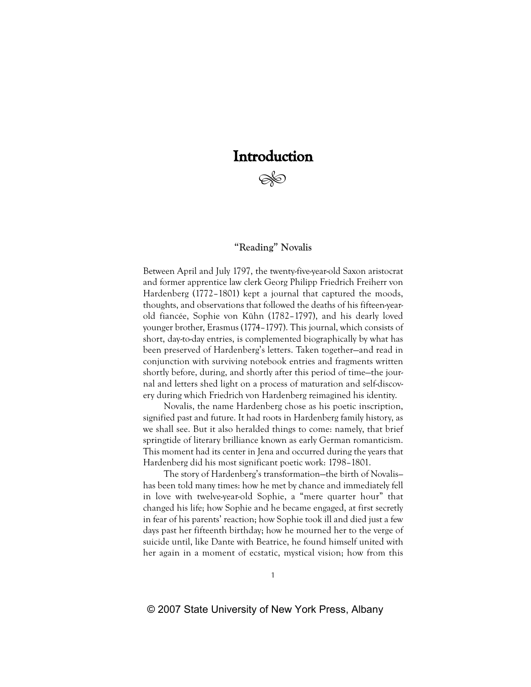8

"Reading" Novalis

Between April and July 1797, the twenty-five-year-old Saxon aristocrat and former apprentice law clerk Georg Philipp Friedrich Freiherr von Hardenberg (1772–1801) kept a journal that captured the moods, thoughts, and observations that followed the deaths of his fifteen-yearold fiancée, Sophie von Kühn (1782–1797), and his dearly loved younger brother, Erasmus (1774–1797). This journal, which consists of short, day-to-day entries, is complemented biographically by what has been preserved of Hardenberg's letters. Taken together—and read in conjunction with surviving notebook entries and fragments written shortly before, during, and shortly after this period of time—the journal and letters shed light on a process of maturation and self-discovery during which Friedrich von Hardenberg reimagined his identity.

Novalis, the name Hardenberg chose as his poetic inscription, signified past and future. It had roots in Hardenberg family history, as we shall see. But it also heralded things to come: namely, that brief springtide of literary brilliance known as early German romanticism. This moment had its center in Jena and occurred during the years that Hardenberg did his most significant poetic work: 1798–1801.

The story of Hardenberg's transformation—the birth of Novalis has been told many times: how he met by chance and immediately fell in love with twelve-year-old Sophie, a "mere quarter hour" that changed his life; how Sophie and he became engaged, at first secretly in fear of his parents' reaction; how Sophie took ill and died just a few days past her fifteenth birthday; how he mourned her to the verge of suicide until, like Dante with Beatrice, he found himself united with her again in a moment of ecstatic, mystical vision; how from this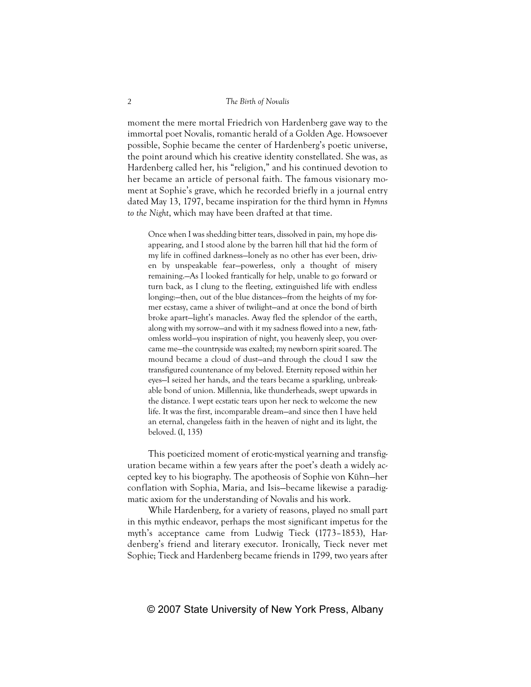#### 2 *The Birth of Novalis*

moment the mere mortal Friedrich von Hardenberg gave way to the immortal poet Novalis, romantic herald of a Golden Age. Howsoever possible, Sophie became the center of Hardenberg's poetic universe, the point around which his creative identity constellated. She was, as Hardenberg called her, his "religion," and his continued devotion to her became an article of personal faith. The famous visionary moment at Sophie's grave, which he recorded briefly in a journal entry dated May 13, 1797, became inspiration for the third hymn in *Hymns to the Night*, which may have been drafted at that time.

Once when I was shedding bitter tears, dissolved in pain, my hope disappearing, and I stood alone by the barren hill that hid the form of my life in coffined darkness—lonely as no other has ever been, driven by unspeakable fear—powerless, only a thought of misery remaining.—As I looked frantically for help, unable to go forward or turn back, as I clung to the fleeting, extinguished life with endless longing:—then, out of the blue distances—from the heights of my former ecstasy, came a shiver of twilight—and at once the bond of birth broke apart—light's manacles. Away fled the splendor of the earth, along with my sorrow—and with it my sadness flowed into a new, fathomless world—you inspiration of night, you heavenly sleep, you overcame me—the countryside was exalted; my newborn spirit soared. The mound became a cloud of dust—and through the cloud I saw the transfigured countenance of my beloved. Eternity reposed within her eyes—I seized her hands, and the tears became a sparkling, unbreakable bond of union. Millennia, like thunderheads, swept upwards in the distance. I wept ecstatic tears upon her neck to welcome the new life. It was the first, incomparable dream—and since then I have held an eternal, changeless faith in the heaven of night and its light, the beloved. (I, 135)

This poeticized moment of erotic-mystical yearning and transfiguration became within a few years after the poet's death a widely accepted key to his biography. The apotheosis of Sophie von Kühn—her conflation with Sophia, Maria, and Isis—became likewise a paradigmatic axiom for the understanding of Novalis and his work.

While Hardenberg, for a variety of reasons, played no small part in this mythic endeavor, perhaps the most significant impetus for the myth's acceptance came from Ludwig Tieck (1773–1853), Hardenberg's friend and literary executor. Ironically, Tieck never met Sophie; Tieck and Hardenberg became friends in 1799, two years after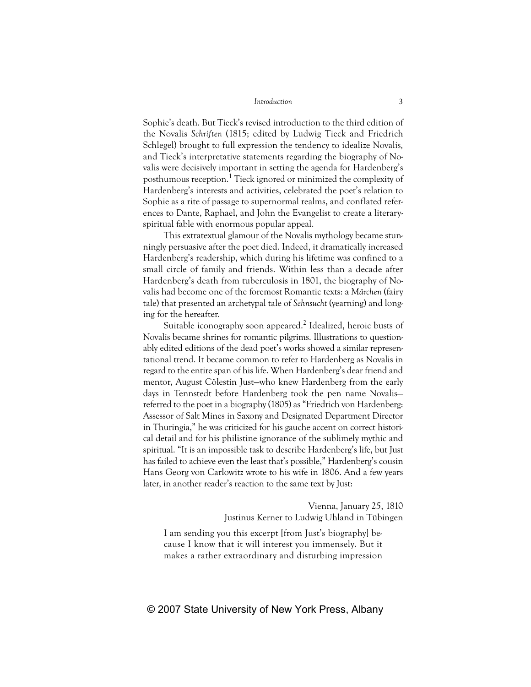Sophie's death. But Tieck's revised introduction to the third edition of the Novalis *Schriften* (1815; edited by Ludwig Tieck and Friedrich Schlegel) brought to full expression the tendency to idealize Novalis*,* and Tieck's interpretative statements regarding the biography of Novalis were decisively important in setting the agenda for Hardenberg's posthumous reception.<sup>1</sup> Tieck ignored or minimized the complexity of Hardenberg's interests and activities, celebrated the poet's relation to Sophie as a rite of passage to supernormal realms, and conflated references to Dante, Raphael, and John the Evangelist to create a literaryspiritual fable with enormous popular appeal.

This extratextual glamour of the Novalis mythology became stunningly persuasive after the poet died. Indeed, it dramatically increased Hardenberg's readership, which during his lifetime was confined to a small circle of family and friends. Within less than a decade after Hardenberg's death from tuberculosis in 1801, the biography of Novalis had become one of the foremost Romantic texts: a *Märchen* (fairy tale) that presented an archetypal tale of *Sehnsucht* (yearning) and longing for the hereafter.

Suitable iconography soon appeared.<sup>2</sup> Idealized, heroic busts of Novalis became shrines for romantic pilgrims. Illustrations to questionably edited editions of the dead poet's works showed a similar representational trend. It became common to refer to Hardenberg as Novalis in regard to the entire span of his life. When Hardenberg's dear friend and mentor, August Cölestin Just—who knew Hardenberg from the early days in Tennstedt before Hardenberg took the pen name Novalis referred to the poet in a biography (1805) as "Friedrich von Hardenberg: Assessor of Salt Mines in Saxony and Designated Department Director in Thuringia," he was criticized for his gauche accent on correct historical detail and for his philistine ignorance of the sublimely mythic and spiritual. "It is an impossible task to describe Hardenberg's life, but Just has failed to achieve even the least that's possible," Hardenberg's cousin Hans Georg von Carlowitz wrote to his wife in 1806. And a few years later, in another reader's reaction to the same text by Just:

> Vienna, January 25, 1810 Justinus Kerner to Ludwig Uhland in Tübingen

I am sending you this excerpt [from Just's biography] because I know that it will interest you immensely. But it makes a rather extraordinary and disturbing impression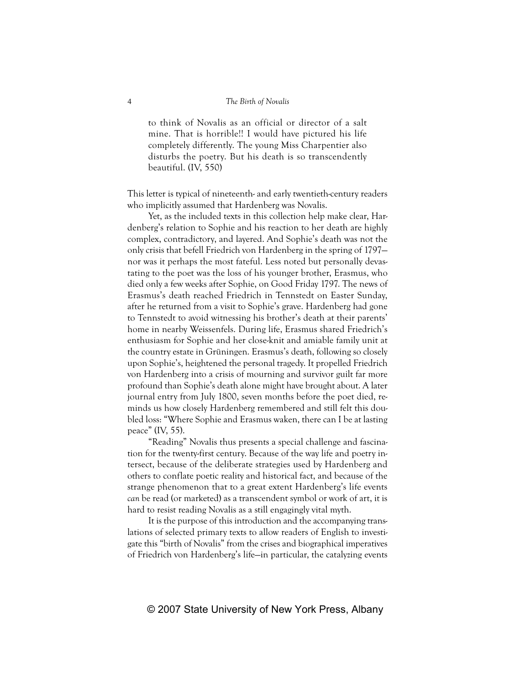to think of Novalis as an official or director of a salt mine. That is horrible!! I would have pictured his life completely differently. The young Miss Charpentier also disturbs the poetry. But his death is so transcendently beautiful. (IV, 550)

This letter is typical of nineteenth- and early twentieth-century readers who implicitly assumed that Hardenberg was Novalis.

Yet, as the included texts in this collection help make clear, Hardenberg's relation to Sophie and his reaction to her death are highly complex, contradictory, and layered. And Sophie's death was not the only crisis that befell Friedrich von Hardenberg in the spring of 1797 nor was it perhaps the most fateful. Less noted but personally devastating to the poet was the loss of his younger brother, Erasmus, who died only a few weeks after Sophie, on Good Friday 1797. The news of Erasmus's death reached Friedrich in Tennstedt on Easter Sunday, after he returned from a visit to Sophie's grave. Hardenberg had gone to Tennstedt to avoid witnessing his brother's death at their parents' home in nearby Weissenfels. During life, Erasmus shared Friedrich's enthusiasm for Sophie and her close-knit and amiable family unit at the country estate in Grüningen. Erasmus's death, following so closely upon Sophie's, heightened the personal tragedy. It propelled Friedrich von Hardenberg into a crisis of mourning and survivor guilt far more profound than Sophie's death alone might have brought about. A later journal entry from July 1800, seven months before the poet died, reminds us how closely Hardenberg remembered and still felt this doubled loss: "Where Sophie and Erasmus waken, there can I be at lasting peace" (IV, 55).

"Reading" Novalis thus presents a special challenge and fascination for the twenty-first century. Because of the way life and poetry intersect, because of the deliberate strategies used by Hardenberg and others to conflate poetic reality and historical fact, and because of the strange phenomenon that to a great extent Hardenberg's life events *can* be read (or marketed) as a transcendent symbol or work of art, it is hard to resist reading Novalis as a still engagingly vital myth.

It is the purpose of this introduction and the accompanying translations of selected primary texts to allow readers of English to investigate this "birth of Novalis" from the crises and biographical imperatives of Friedrich von Hardenberg's life—in particular, the catalyzing events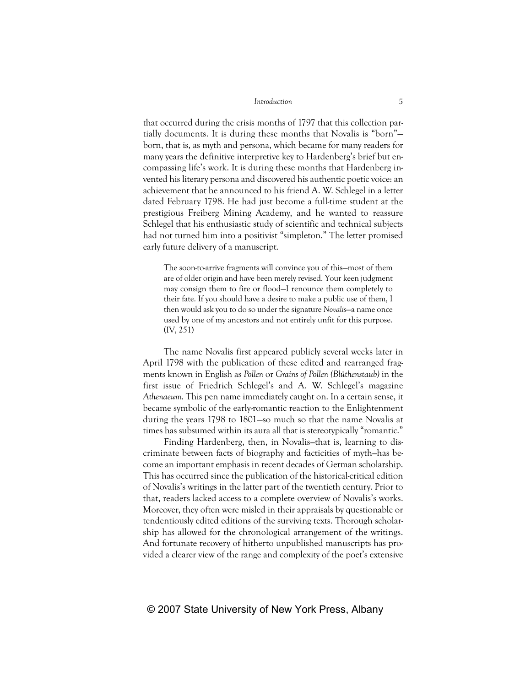that occurred during the crisis months of 1797 that this collection partially documents. It is during these months that Novalis is "born" born, that is, as myth and persona, which became for many readers for many years the definitive interpretive key to Hardenberg's brief but encompassing life's work. It is during these months that Hardenberg invented his literary persona and discovered his authentic poetic voice: an achievement that he announced to his friend A. W. Schlegel in a letter dated February 1798. He had just become a full-time student at the prestigious Freiberg Mining Academy, and he wanted to reassure Schlegel that his enthusiastic study of scientific and technical subjects had not turned him into a positivist "simpleton." The letter promised early future delivery of a manuscript.

The soon-to-arrive fragments will convince you of this—most of them are of older origin and have been merely revised. Your keen judgment may consign them to fire or flood—I renounce them completely to their fate. If you should have a desire to make a public use of them, I then would ask you to do so under the signature *Novalis*—a name once used by one of my ancestors and not entirely unfit for this purpose. (IV, 251)

The name Novalis first appeared publicly several weeks later in April 1798 with the publication of these edited and rearranged fragments known in English as *Pollen* or *Grains of Pollen (Blüthenstaub)* in the first issue of Friedrich Schlegel's and A. W. Schlegel's magazine *Athenaeum*. This pen name immediately caught on. In a certain sense, it became symbolic of the early-romantic reaction to the Enlightenment during the years 1798 to 1801—so much so that the name Novalis at times has subsumed within its aura all that is stereotypically "romantic."

Finding Hardenberg, then, in Novalis*—*that is, learning to discriminate between facts of biography and facticities of myth*—*has become an important emphasis in recent decades of German scholarship. This has occurred since the publication of the historical-critical edition of Novalis's writings in the latter part of the twentieth century. Prior to that, readers lacked access to a complete overview of Novalis's works. Moreover, they often were misled in their appraisals by questionable or tendentiously edited editions of the surviving texts. Thorough scholarship has allowed for the chronological arrangement of the writings. And fortunate recovery of hitherto unpublished manuscripts has provided a clearer view of the range and complexity of the poet's extensive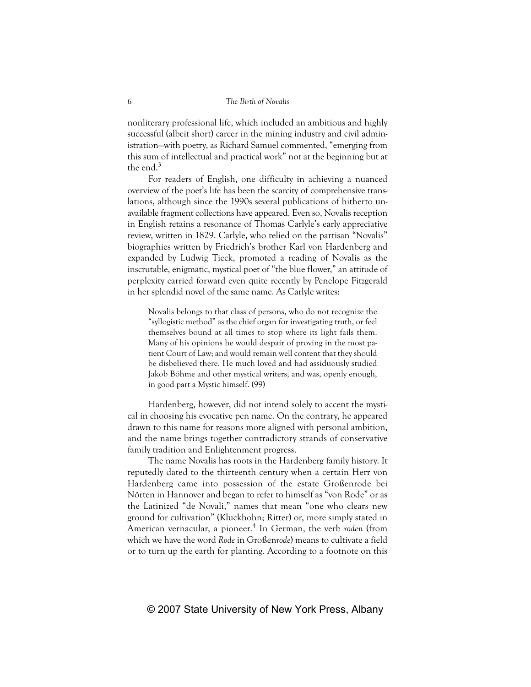nonliterary professional life, which included an ambitious and highly successful (albeit short) career in the mining industry and civil administration—with poetry, as Richard Samuel commented, "emerging from this sum of intellectual and practical work" not at the beginning but at the end. $3$ 

For readers of English, one difficulty in achieving a nuanced overview of the poet's life has been the scarcity of comprehensive translations, although since the 1990s several publications of hitherto unavailable fragment collections have appeared. Even so, Novalis reception in English retains a resonance of Thomas Carlyle's early appreciative review, written in 1829. Carlyle, who relied on the partisan "Novalis" biographies written by Friedrich's brother Karl von Hardenberg and expanded by Ludwig Tieck, promoted a reading of Novalis as the inscrutable, enigmatic, mystical poet of "the blue flower," an attitude of perplexity carried forward even quite recently by Penelope Fitzgerald in her splendid novel of the same name. As Carlyle writes:

Novalis belongs to that class of persons, who do not recognize the "syllogistic method" as the chief organ for investigating truth, or feel themselves bound at all times to stop where its light fails them. Many of his opinions he would despair of proving in the most patient Court of Law; and would remain well content that they should be disbelieved there. He much loved and had assiduously studied Jakob Böhme and other mystical writers; and was, openly enough, in good part a Mystic himself. (99)

Hardenberg, however, did not intend solely to accent the mystical in choosing his evocative pen name. On the contrary, he appeared drawn to this name for reasons more aligned with personal ambition, and the name brings together contradictory strands of conservative family tradition and Enlightenment progress.

The name Novalis has roots in the Hardenberg family history. It reputedly dated to the thirteenth century when a certain Herr von Hardenberg came into possession of the estate Großenrode bei Nörten in Hannover and began to refer to himself as "von Rode" or as the Latinized "de Novali," names that mean "one who clears new ground for cultivation" (Kluckhohn; Ritter) or, more simply stated in American vernacular, a pioneer.<sup>4</sup> In German, the verb *roden* (from which we have the word *Rode* in Großen*rode*) means to cultivate a field or to turn up the earth for planting. According to a footnote on this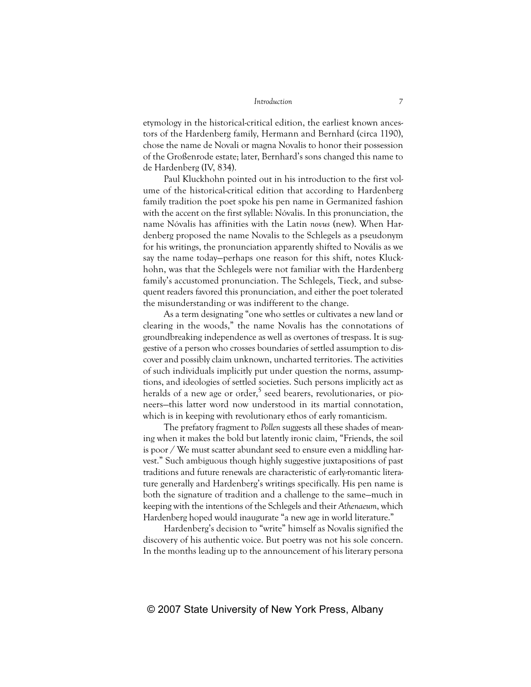etymology in the historical-critical edition, the earliest known ancestors of the Hardenberg family, Hermann and Bernhard (circa 1190), chose the name de Novali or magna Novalis to honor their possession of the Großenrode estate; later, Bernhard's sons changed this name to de Hardenberg (IV, 834).

Paul Kluckhohn pointed out in his introduction to the first volume of the historical-critical edition that according to Hardenberg family tradition the poet spoke his pen name in Germanized fashion with the accent on the first syllable: Nóvalis. In this pronunciation, the name Nóvalis has affinities with the Latin *novus* (new). When Hardenberg proposed the name Novalis to the Schlegels as a pseudonym for his writings, the pronunciation apparently shifted to Novális as we say the name today—perhaps one reason for this shift, notes Kluckhohn, was that the Schlegels were not familiar with the Hardenberg family's accustomed pronunciation. The Schlegels, Tieck, and subsequent readers favored this pronunciation, and either the poet tolerated the misunderstanding or was indifferent to the change.

As a term designating "one who settles or cultivates a new land or clearing in the woods," the name Novalis has the connotations of groundbreaking independence as well as overtones of trespass. It is suggestive of a person who crosses boundaries of settled assumption to discover and possibly claim unknown, uncharted territories. The activities of such individuals implicitly put under question the norms, assumptions, and ideologies of settled societies. Such persons implicitly act as heralds of a new age or order,<sup>5</sup> seed bearers, revolutionaries, or pioneers—this latter word now understood in its martial connotation, which is in keeping with revolutionary ethos of early romanticism.

The prefatory fragment to *Pollen* suggests all these shades of meaning when it makes the bold but latently ironic claim, "Friends, the soil is poor / We must scatter abundant seed to ensure even a middling harvest." Such ambiguous though highly suggestive juxtapositions of past traditions and future renewals are characteristic of early-romantic literature generally and Hardenberg's writings specifically. His pen name is both the signature of tradition and a challenge to the same—much in keeping with the intentions of the Schlegels and their *Athenaeum*, which Hardenberg hoped would inaugurate "a new age in world literature."

Hardenberg's decision to "write" himself as Novalis signified the discovery of his authentic voice. But poetry was not his sole concern. In the months leading up to the announcement of his literary persona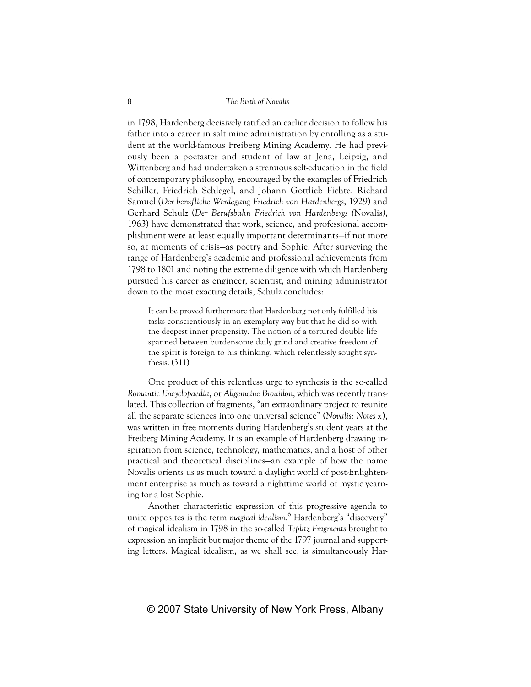in 1798, Hardenberg decisively ratified an earlier decision to follow his father into a career in salt mine administration by enrolling as a student at the world-famous Freiberg Mining Academy. He had previously been a poetaster and student of law at Jena, Leipzig, and Wittenberg and had undertaken a strenuous self-education in the field of contemporary philosophy, encouraged by the examples of Friedrich Schiller, Friedrich Schlegel, and Johann Gottlieb Fichte. Richard Samuel (*Der berufliche Werdegang Friedrich von Hardenbergs*, 1929) and Gerhard Schulz (*Der Berufsbahn Friedrich von Hardenbergs (*Novalis*)*, 1963) have demonstrated that work, science, and professional accomplishment were at least equally important determinants—if not more so, at moments of crisis—as poetry and Sophie. After surveying the range of Hardenberg's academic and professional achievements from 1798 to 1801 and noting the extreme diligence with which Hardenberg pursued his career as engineer, scientist, and mining administrator down to the most exacting details, Schulz concludes:

It can be proved furthermore that Hardenberg not only fulfilled his tasks conscientiously in an exemplary way but that he did so with the deepest inner propensity. The notion of a tortured double life spanned between burdensome daily grind and creative freedom of the spirit is foreign to his thinking, which relentlessly sought synthesis. (311)

One product of this relentless urge to synthesis is the so-called *Romantic Encyclopaedia*, or *Allgemeine Brouillon*, which was recently translated. This collection of fragments, "an extraordinary project to reunite all the separate sciences into one universal science" (*Novalis: Notes x*), was written in free moments during Hardenberg's student years at the Freiberg Mining Academy. It is an example of Hardenberg drawing inspiration from science, technology, mathematics, and a host of other practical and theoretical disciplines—an example of how the name Novalis orients us as much toward a daylight world of post-Enlightenment enterprise as much as toward a nighttime world of mystic yearning for a lost Sophie.

Another characteristic expression of this progressive agenda to unite opposites is the term *magical idealism*. <sup>6</sup> Hardenberg's "discovery" of magical idealism in 1798 in the so-called *Teplitz Fragments* brought to expression an implicit but major theme of the 1797 journal and supporting letters. Magical idealism, as we shall see, is simultaneously Har-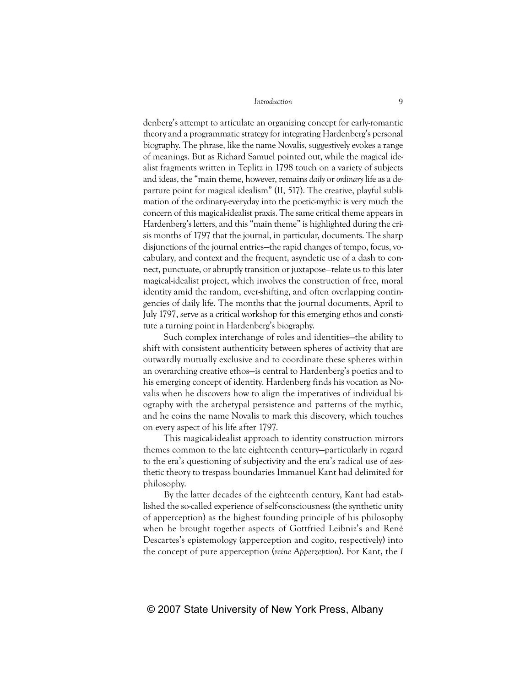denberg's attempt to articulate an organizing concept for early-romantic theory and a programmatic strategy for integrating Hardenberg's personal biography. The phrase, like the name Novalis, suggestively evokes a range of meanings. But as Richard Samuel pointed out, while the magical idealist fragments written in Teplitz in 1798 touch on a variety of subjects and ideas, the "main theme, however, remains *daily* or*ordinary* life as a departure point for magical idealism" (II, 517). The creative, playful sublimation of the ordinary-everyday into the poetic-mythic is very much the concern of this magical-idealist praxis. The same critical theme appears in Hardenberg's letters, and this "main theme" is highlighted during the crisis months of 1797 that the journal, in particular, documents. The sharp disjunctions of the journal entries—the rapid changes of tempo, focus, vocabulary, and context and the frequent, asyndetic use of a dash to connect, punctuate, or abruptly transition or juxtapose—relate us to this later magical-idealist project, which involves the construction of free, moral identity amid the random, ever-shifting, and often overlapping contingencies of daily life. The months that the journal documents, April to July 1797, serve as a critical workshop for this emerging ethos and constitute a turning point in Hardenberg's biography.

Such complex interchange of roles and identities—the ability to shift with consistent authenticity between spheres of activity that are outwardly mutually exclusive and to coordinate these spheres within an overarching creative ethos—is central to Hardenberg's poetics and to his emerging concept of identity. Hardenberg finds his vocation as Novalis when he discovers how to align the imperatives of individual biography with the archetypal persistence and patterns of the mythic, and he coins the name Novalis to mark this discovery, which touches on every aspect of his life after 1797.

This magical-idealist approach to identity construction mirrors themes common to the late eighteenth century—particularly in regard to the era's questioning of subjectivity and the era's radical use of aesthetic theory to trespass boundaries Immanuel Kant had delimited for philosophy.

By the latter decades of the eighteenth century, Kant had established the so-called experience of self-consciousness (the synthetic unity of apperception) as the highest founding principle of his philosophy when he brought together aspects of Gottfried Leibniz's and René Descartes's epistemology (apperception and cogito, respectively) into the concept of pure apperception (*reine Apperzeption*). For Kant, the *I*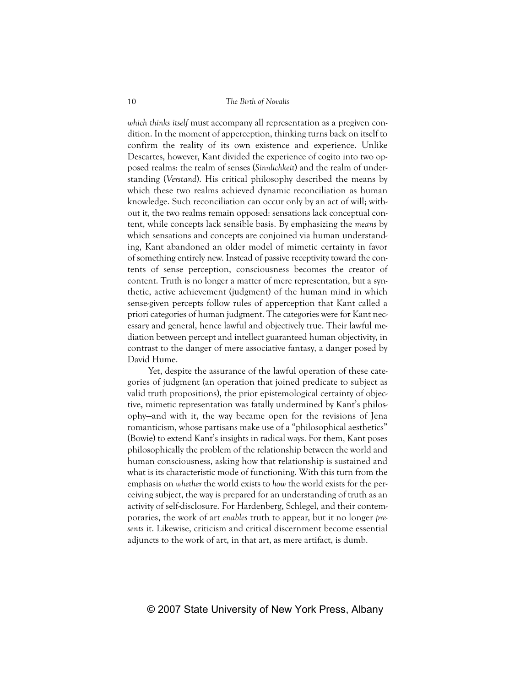*which thinks itself* must accompany all representation as a pregiven condition. In the moment of apperception, thinking turns back on itself to confirm the reality of its own existence and experience. Unlike Descartes, however, Kant divided the experience of cogito into two opposed realms: the realm of senses (*Sinnlichkeit*) and the realm of understanding (*Verstand*). His critical philosophy described the means by which these two realms achieved dynamic reconciliation as human knowledge. Such reconciliation can occur only by an act of will; without it, the two realms remain opposed: sensations lack conceptual content, while concepts lack sensible basis. By emphasizing the *means* by which sensations and concepts are conjoined via human understanding, Kant abandoned an older model of mimetic certainty in favor of something entirely new. Instead of passive receptivity toward the contents of sense perception, consciousness becomes the creator of content. Truth is no longer a matter of mere representation, but a synthetic, active achievement (judgment) of the human mind in which sense-given percepts follow rules of apperception that Kant called a priori categories of human judgment. The categories were for Kant necessary and general, hence lawful and objectively true. Their lawful mediation between percept and intellect guaranteed human objectivity, in contrast to the danger of mere associative fantasy, a danger posed by David Hume.

Yet, despite the assurance of the lawful operation of these categories of judgment (an operation that joined predicate to subject as valid truth propositions), the prior epistemological certainty of objective, mimetic representation was fatally undermined by Kant's philosophy—and with it, the way became open for the revisions of Jena romanticism, whose partisans make use of a "philosophical aesthetics" (Bowie) to extend Kant's insights in radical ways. For them, Kant poses philosophically the problem of the relationship between the world and human consciousness, asking how that relationship is sustained and what is its characteristic mode of functioning. With this turn from the emphasis on *whether* the world exists to *how* the world exists for the perceiving subject, the way is prepared for an understanding of truth as an activity of self-disclosure. For Hardenberg, Schlegel, and their contemporaries, the work of art *enables* truth to appear, but it no longer *presents* it. Likewise, criticism and critical discernment become essential adjuncts to the work of art, in that art, as mere artifact, is dumb.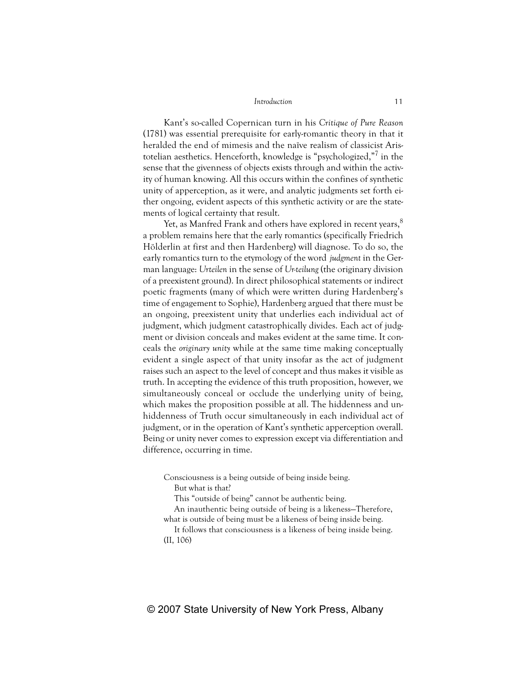Kant's so-called Copernican turn in his *Critique of Pure Reason* (1781) was essential prerequisite for early-romantic theory in that it heralded the end of mimesis and the naïve realism of classicist Aristotelian aesthetics. Henceforth, knowledge is "psychologized,"<sup>7</sup> in the sense that the givenness of objects exists through and within the activity of human knowing. All this occurs within the confines of synthetic unity of apperception, as it were, and analytic judgments set forth either ongoing, evident aspects of this synthetic activity or are the statements of logical certainty that result.

Yet, as Manfred Frank and others have explored in recent vears.<sup>8</sup> a problem remains here that the early romantics (specifically Friedrich Hölderlin at first and then Hardenberg) will diagnose. To do so, the early romantics turn to the etymology of the word *judgment* in the German language: *Urteilen* in the sense of *Ur-teilung* (the originary division of a preexistent ground). In direct philosophical statements or indirect poetic fragments (many of which were written during Hardenberg's time of engagement to Sophie), Hardenberg argued that there must be an ongoing, preexistent unity that underlies each individual act of judgment, which judgment catastrophically divides. Each act of judgment or division conceals and makes evident at the same time. It conceals the *originary unity* while at the same time making conceptually evident a single aspect of that unity insofar as the act of judgment raises such an aspect to the level of concept and thus makes it visible as truth. In accepting the evidence of this truth proposition, however, we simultaneously conceal or occlude the underlying unity of being, which makes the proposition possible at all. The hiddenness and unhiddenness of Truth occur simultaneously in each individual act of judgment, or in the operation of Kant's synthetic apperception overall. Being or unity never comes to expression except via differentiation and difference, occurring in time.

Consciousness is a being outside of being inside being.

But what is that?

This "outside of being" cannot be authentic being.

An inauthentic being outside of being is a likeness—Therefore, what is outside of being must be a likeness of being inside being.

It follows that consciousness is a likeness of being inside being. (II, 106)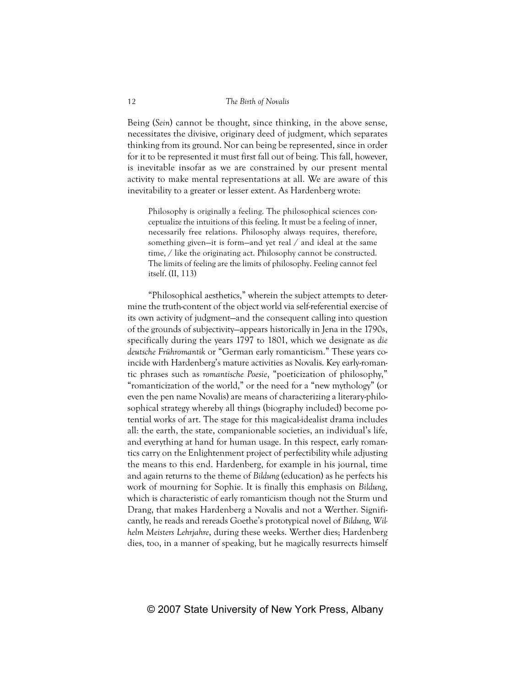Being (*Sein*) cannot be thought, since thinking, in the above sense, necessitates the divisive, originary deed of judgment, which separates thinking from its ground. Nor can being be represented, since in order for it to be represented it must first fall out of being. This fall, however, is inevitable insofar as we are constrained by our present mental activity to make mental representations at all. We are aware of this inevitability to a greater or lesser extent. As Hardenberg wrote:

Philosophy is originally a feeling. The philosophical sciences conceptualize the intuitions of this feeling. It must be a feeling of inner, necessarily free relations. Philosophy always requires, therefore, something given—it is form—and yet real / and ideal at the same time, / like the originating act. Philosophy cannot be constructed. The limits of feeling are the limits of philosophy. Feeling cannot feel itself. (II, 113)

"Philosophical aesthetics," wherein the subject attempts to determine the truth-content of the object world via self-referential exercise of its own activity of judgment—and the consequent calling into question of the grounds of subjectivity—appears historically in Jena in the 1790s, specifically during the years 1797 to 1801, which we designate as *die deutsche Frühromantik* or "German early romanticism." These years coincide with Hardenberg's mature activities as Novalis. Key early-romantic phrases such as *romantische Poesie*, "poeticization of philosophy," "romanticization of the world," or the need for a "new mythology" (or even the pen name Novalis) are means of characterizing a literary-philosophical strategy whereby all things (biography included) become potential works of art. The stage for this magical-idealist drama includes all: the earth, the state, companionable societies, an individual's life, and everything at hand for human usage. In this respect, early romantics carry on the Enlightenment project of perfectibility while adjusting the means to this end. Hardenberg, for example in his journal, time and again returns to the theme of *Bildung* (education) as he perfects his work of mourning for Sophie. It is finally this emphasis on *Bildung*, which is characteristic of early romanticism though not the Sturm und Drang, that makes Hardenberg a Novalis and not a Werther. Significantly, he reads and rereads Goethe's prototypical novel of *Bildung*, *Wilhelm Meisters Lehrjahre*, during these weeks. Werther dies; Hardenberg dies, too, in a manner of speaking, but he magically resurrects himself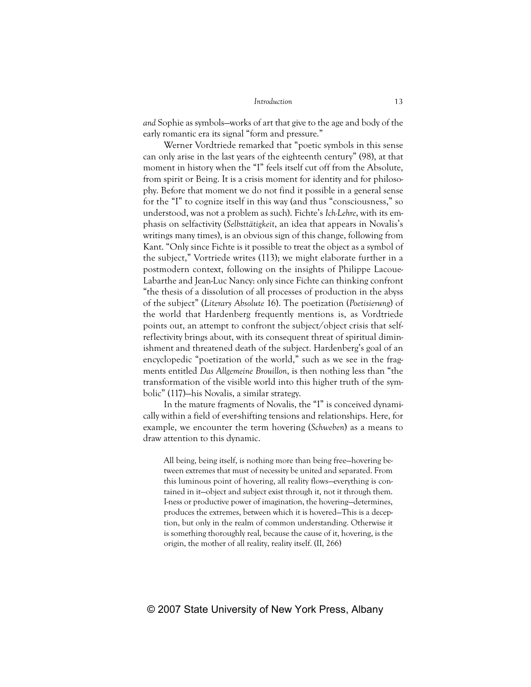*and* Sophie as symbols—works of art that give to the age and body of the early romantic era its signal "form and pressure."

Werner Vordtriede remarked that "poetic symbols in this sense can only arise in the last years of the eighteenth century" (98), at that moment in history when the "I" feels itself cut off from the Absolute, from spirit or Being. It is a crisis moment for identity and for philosophy. Before that moment we do not find it possible in a general sense for the "I" to cognize itself in this way (and thus "consciousness," so understood, was not a problem as such). Fichte's *Ich-Lehre*, with its emphasis on selfactivity (*Selbsttätigkeit*, an idea that appears in Novalis's writings many times), is an obvious sign of this change, following from Kant. "Only since Fichte is it possible to treat the object as a symbol of the subject," Vortriede writes (113); we might elaborate further in a postmodern context, following on the insights of Philippe Lacoue-Labarthe and Jean-Luc Nancy: only since Fichte can thinking confront "the thesis of a dissolution of all processes of production in the abyss of the subject" (*Literary Absolute* 16). The poetization (*Poetisierung*) of the world that Hardenberg frequently mentions is, as Vordtriede points out, an attempt to confront the subject/object crisis that selfreflectivity brings about, with its consequent threat of spiritual diminishment and threatened death of the subject. Hardenberg's goal of an encyclopedic "poetization of the world," such as we see in the fragments entitled *Das Allgemeine Brouillon*, is then nothing less than "the transformation of the visible world into this higher truth of the symbolic" (117)—his Novalis, a similar strategy.

In the mature fragments of Novalis, the "I" is conceived dynamically within a field of ever-shifting tensions and relationships. Here, for example, we encounter the term hovering (*Schweben*) as a means to draw attention to this dynamic.

All being, being itself, is nothing more than being free—hovering between extremes that must of necessity be united and separated. From this luminous point of hovering, all reality flows—everything is contained in it—object and subject exist through it, not it through them. I-ness or productive power of imagination, the hovering—determines, produces the extremes, between which it is hovered—This is a deception, but only in the realm of common understanding. Otherwise it is something thoroughly real, because the cause of it, hovering, is the origin, the mother of all reality, reality itself. (II, 266)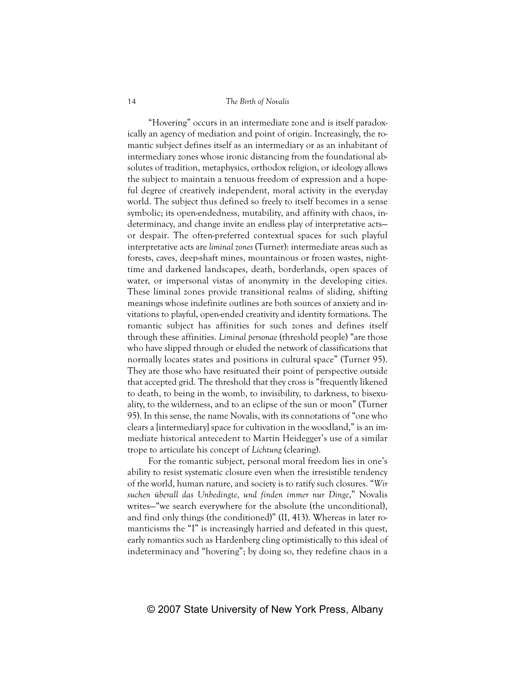"Hovering" occurs in an intermediate zone and is itself paradoxically an agency of mediation and point of origin. Increasingly, the romantic subject defines itself as an intermediary or as an inhabitant of intermediary zones whose ironic distancing from the foundational absolutes of tradition, metaphysics, orthodox religion, or ideology allows the subject to maintain a tenuous freedom of expression and a hopeful degree of creatively independent, moral activity in the everyday world. The subject thus defined so freely to itself becomes in a sense symbolic; its open-endedness, mutability, and affinity with chaos, indeterminacy, and change invite an endless play of interpretative acts or despair. The often-preferred contextual spaces for such playful interpretative acts are *liminal zones* (Turner): intermediate areas such as forests, caves, deep-shaft mines, mountainous or frozen wastes, nighttime and darkened landscapes, death, borderlands, open spaces of water, or impersonal vistas of anonymity in the developing cities. These liminal zones provide transitional realms of sliding, shifting meanings whose indefinite outlines are both sources of anxiety and invitations to playful, open-ended creativity and identity formations. The romantic subject has affinities for such zones and defines itself through these affinities. *Liminal personae* (threshold people) "are those who have slipped through or eluded the network of classifications that normally locates states and positions in cultural space" (Turner 95). They are those who have resituated their point of perspective outside that accepted grid. The threshold that they cross is "frequently likened to death, to being in the womb, to invisibility, to darkness, to bisexuality, to the wilderness, and to an eclipse of the sun or moon" (Turner 95). In this sense, the name Novalis, with its connotations of "one who clears a [intermediary] space for cultivation in the woodland," is an immediate historical antecedent to Martin Heidegger's use of a similar trope to articulate his concept of *Lichtung* (clearing).

For the romantic subject, personal moral freedom lies in one's ability to resist systematic closure even when the irresistible tendency of the world, human nature, and society is to ratify such closures. "*Wir suchen überall das Unbedingte, und finden immer nur Dinge*," Novalis writes—"we search everywhere for the absolute (the unconditional), and find only things (the conditioned)" (II, 413). Whereas in later romanticisms the "I" is increasingly harried and defeated in this quest, early romantics such as Hardenberg cling optimistically to this ideal of indeterminacy and "hovering"; by doing so, they redefine chaos in a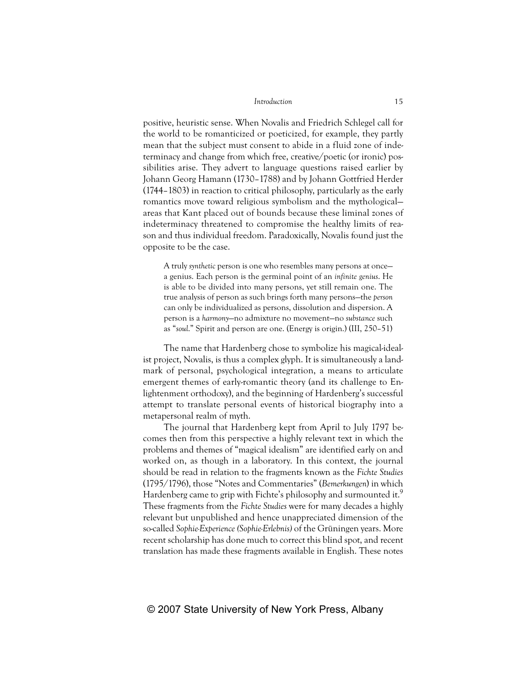positive, heuristic sense. When Novalis and Friedrich Schlegel call for the world to be romanticized or poeticized, for example, they partly mean that the subject must consent to abide in a fluid zone of indeterminacy and change from which free, creative/poetic (or ironic) possibilities arise. They advert to language questions raised earlier by Johann Georg Hamann (1730–1788) and by Johann Gottfried Herder (1744–1803) in reaction to critical philosophy, particularly as the early romantics move toward religious symbolism and the mythological areas that Kant placed out of bounds because these liminal zones of indeterminacy threatened to compromise the healthy limits of reason and thus individual freedom. Paradoxically, Novalis found just the opposite to be the case.

A truly *synthetic* person is one who resembles many persons at once a genius. Each person is the germinal point of an *infinite genius*. He is able to be divided into many persons, yet still remain one. The true analysis of person as such brings forth many persons—the *person* can only be individualized as persons, dissolution and dispersion. A person is a *harmony*—no admixture no movement—no *substance* such as "*soul*." Spirit and person are one. (Energy is origin.) (III, 250–51)

The name that Hardenberg chose to symbolize his magical-idealist project, Novalis, is thus a complex glyph. It is simultaneously a landmark of personal, psychological integration, a means to articulate emergent themes of early-romantic theory (and its challenge to Enlightenment orthodoxy), and the beginning of Hardenberg's successful attempt to translate personal events of historical biography into a metapersonal realm of myth.

The journal that Hardenberg kept from April to July 1797 becomes then from this perspective a highly relevant text in which the problems and themes of "magical idealism" are identified early on and worked on, as though in a laboratory. In this context, the journal should be read in relation to the fragments known as the *Fichte Studies* (1795/1796), those "Notes and Commentaries" (*Bemerkungen*) in which Hardenberg came to grip with Fichte's philosophy and surmounted it.<sup>9</sup> These fragments from the *Fichte Studies* were for many decades a highly relevant but unpublished and hence unappreciated dimension of the so-called *Sophie-Experience (Sophie-Erlebnis)* of the Grüningen years. More recent scholarship has done much to correct this blind spot, and recent translation has made these fragments available in English. These notes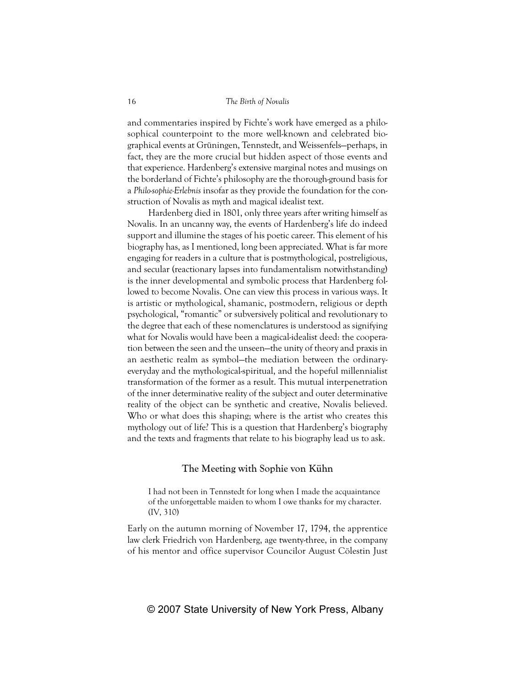and commentaries inspired by Fichte's work have emerged as a philosophical counterpoint to the more well-known and celebrated biographical events at Grüningen, Tennstedt, and Weissenfels—perhaps, in fact, they are the more crucial but hidden aspect of those events and that experience. Hardenberg's extensive marginal notes and musings on the borderland of Fichte's philosophy are the thorough-ground basis for a *Philo-sophie-Erlebnis* insofar as they provide the foundation for the construction of Novalis as myth and magical idealist text.

Hardenberg died in 1801, only three years after writing himself as Novalis. In an uncanny way, the events of Hardenberg's life do indeed support and illumine the stages of his poetic career. This element of his biography has, as I mentioned, long been appreciated. What is far more engaging for readers in a culture that is postmythological, postreligious, and secular (reactionary lapses into fundamentalism notwithstanding) is the inner developmental and symbolic process that Hardenberg followed to become Novalis. One can view this process in various ways. It is artistic or mythological, shamanic, postmodern, religious or depth psychological, "romantic" or subversively political and revolutionary to the degree that each of these nomenclatures is understood as signifying what for Novalis would have been a magical-idealist deed: the cooperation between the seen and the unseen—the unity of theory and praxis in an aesthetic realm as symbol—the mediation between the ordinaryeveryday and the mythological-spiritual, and the hopeful millennialist transformation of the former as a result. This mutual interpenetration of the inner determinative reality of the subject and outer determinative reality of the object can be synthetic and creative, Novalis believed. Who or what does this shaping; where is the artist who creates this mythology out of life? This is a question that Hardenberg's biography and the texts and fragments that relate to his biography lead us to ask.

# The Meeting with Sophie von Kühn

I had not been in Tennstedt for long when I made the acquaintance of the unforgettable maiden to whom I owe thanks for my character. (IV, 310)

Early on the autumn morning of November 17, 1794, the apprentice law clerk Friedrich von Hardenberg, age twenty-three, in the company of his mentor and office supervisor Councilor August Cölestin Just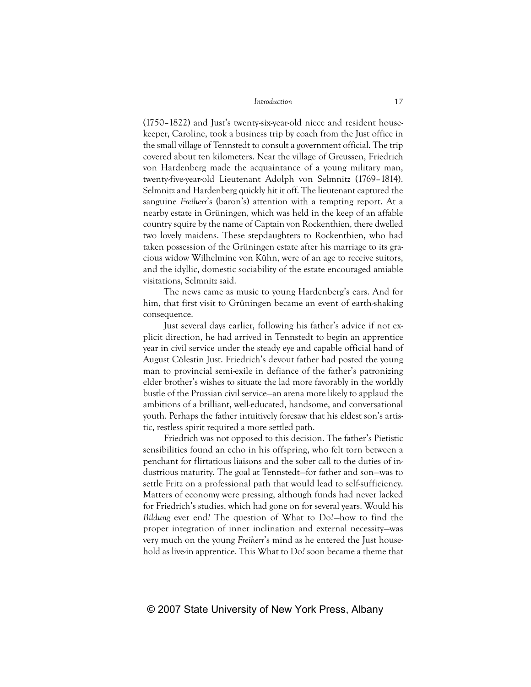(1750–1822) and Just's twenty-six-year-old niece and resident housekeeper, Caroline, took a business trip by coach from the Just office in the small village of Tennstedt to consult a government official. The trip covered about ten kilometers. Near the village of Greussen, Friedrich von Hardenberg made the acquaintance of a young military man, twenty-five-year-old Lieutenant Adolph von Selmnitz (1769–1814). Selmnitz and Hardenberg quickly hit it off. The lieutenant captured the sanguine *Freiherr*'s (baron's) attention with a tempting report. At a nearby estate in Grüningen, which was held in the keep of an affable country squire by the name of Captain von Rockenthien, there dwelled two lovely maidens. These stepdaughters to Rockenthien, who had taken possession of the Grüningen estate after his marriage to its gracious widow Wilhelmine von Kühn, were of an age to receive suitors, and the idyllic, domestic sociability of the estate encouraged amiable visitations, Selmnitz said.

The news came as music to young Hardenberg's ears. And for him, that first visit to Grüningen became an event of earth-shaking consequence.

Just several days earlier, following his father's advice if not explicit direction, he had arrived in Tennstedt to begin an apprentice year in civil service under the steady eye and capable official hand of August Cölestin Just. Friedrich's devout father had posted the young man to provincial semi-exile in defiance of the father's patronizing elder brother's wishes to situate the lad more favorably in the worldly bustle of the Prussian civil service—an arena more likely to applaud the ambitions of a brilliant, well-educated, handsome, and conversational youth. Perhaps the father intuitively foresaw that his eldest son's artistic, restless spirit required a more settled path.

Friedrich was not opposed to this decision. The father's Pietistic sensibilities found an echo in his offspring, who felt torn between a penchant for flirtatious liaisons and the sober call to the duties of industrious maturity. The goal at Tennstedt—for father and son—was to settle Fritz on a professional path that would lead to self-sufficiency. Matters of economy were pressing, although funds had never lacked for Friedrich's studies, which had gone on for several years. Would his *Bildung* ever end? The question of What to Do?—how to find the proper integration of inner inclination and external necessity—was very much on the young *Freiherr*'s mind as he entered the Just household as live-in apprentice. This What to Do? soon became a theme that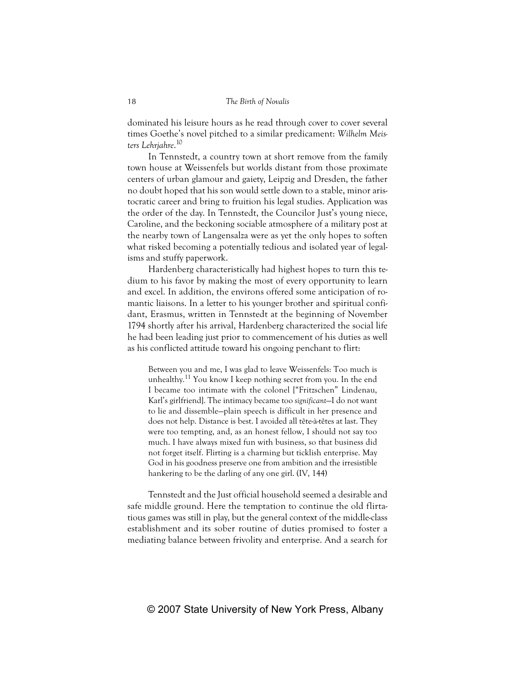dominated his leisure hours as he read through cover to cover several times Goethe's novel pitched to a similar predicament: *Wilhelm Meisters Lehrjahre*. 10

In Tennstedt, a country town at short remove from the family town house at Weissenfels but worlds distant from those proximate centers of urban glamour and gaiety, Leipzig and Dresden, the father no doubt hoped that his son would settle down to a stable, minor aristocratic career and bring to fruition his legal studies. Application was the order of the day. In Tennstedt, the Councilor Just's young niece, Caroline, and the beckoning sociable atmosphere of a military post at the nearby town of Langensalza were as yet the only hopes to soften what risked becoming a potentially tedious and isolated year of legalisms and stuffy paperwork.

Hardenberg characteristically had highest hopes to turn this tedium to his favor by making the most of every opportunity to learn and excel. In addition, the environs offered some anticipation of romantic liaisons. In a letter to his younger brother and spiritual confidant, Erasmus, written in Tennstedt at the beginning of November 1794 shortly after his arrival, Hardenberg characterized the social life he had been leading just prior to commencement of his duties as well as his conflicted attitude toward his ongoing penchant to flirt:

Between you and me, I was glad to leave Weissenfels: Too much is unhealthy.<sup>11</sup> You know I keep nothing secret from you. In the end I became too intimate with the colonel ["Fritzschen" Lindenau, Karl's girlfriend]. The intimacy became too *significant*—I do not want to lie and dissemble—plain speech is difficult in her presence and does not help. Distance is best. I avoided all tête-à-têtes at last. They were too tempting, and, as an honest fellow, I should not say too much. I have always mixed fun with business, so that business did not forget itself. Flirting is a charming but ticklish enterprise. May God in his goodness preserve one from ambition and the irresistible hankering to be the darling of any one girl. (IV, 144)

Tennstedt and the Just official household seemed a desirable and safe middle ground. Here the temptation to continue the old flirtatious games was still in play, but the general context of the middle-class establishment and its sober routine of duties promised to foster a mediating balance between frivolity and enterprise. And a search for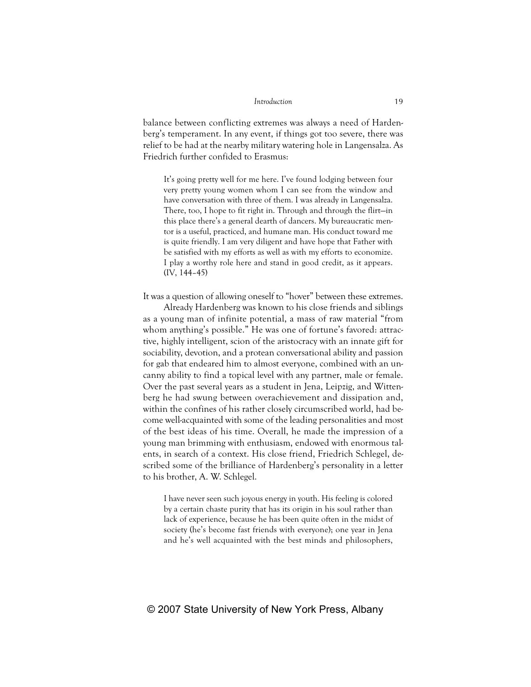balance between conflicting extremes was always a need of Hardenberg's temperament. In any event, if things got too severe, there was relief to be had at the nearby military watering hole in Langensalza. As Friedrich further confided to Erasmus:

It's going pretty well for me here. I've found lodging between four very pretty young women whom I can see from the window and have conversation with three of them. I was already in Langensalza. There, too, I hope to fit right in. Through and through the flirt—in this place there's a general dearth of dancers. My bureaucratic mentor is a useful, practiced, and humane man. His conduct toward me is quite friendly. I am very diligent and have hope that Father with be satisfied with my efforts as well as with my efforts to economize. I play a worthy role here and stand in good credit, as it appears. (IV, 144–45)

It was a question of allowing oneself to "hover" between these extremes.

Already Hardenberg was known to his close friends and siblings as a young man of infinite potential, a mass of raw material "from whom anything's possible." He was one of fortune's favored: attractive, highly intelligent, scion of the aristocracy with an innate gift for sociability, devotion, and a protean conversational ability and passion for gab that endeared him to almost everyone, combined with an uncanny ability to find a topical level with any partner, male or female. Over the past several years as a student in Jena, Leipzig, and Wittenberg he had swung between overachievement and dissipation and, within the confines of his rather closely circumscribed world, had become well-acquainted with some of the leading personalities and most of the best ideas of his time. Overall, he made the impression of a young man brimming with enthusiasm, endowed with enormous talents, in search of a context. His close friend, Friedrich Schlegel, described some of the brilliance of Hardenberg's personality in a letter to his brother, A. W. Schlegel.

I have never seen such joyous energy in youth. His feeling is colored by a certain chaste purity that has its origin in his soul rather than lack of experience, because he has been quite often in the midst of society (he's become fast friends with everyone); one year in Jena and he's well acquainted with the best minds and philosophers,